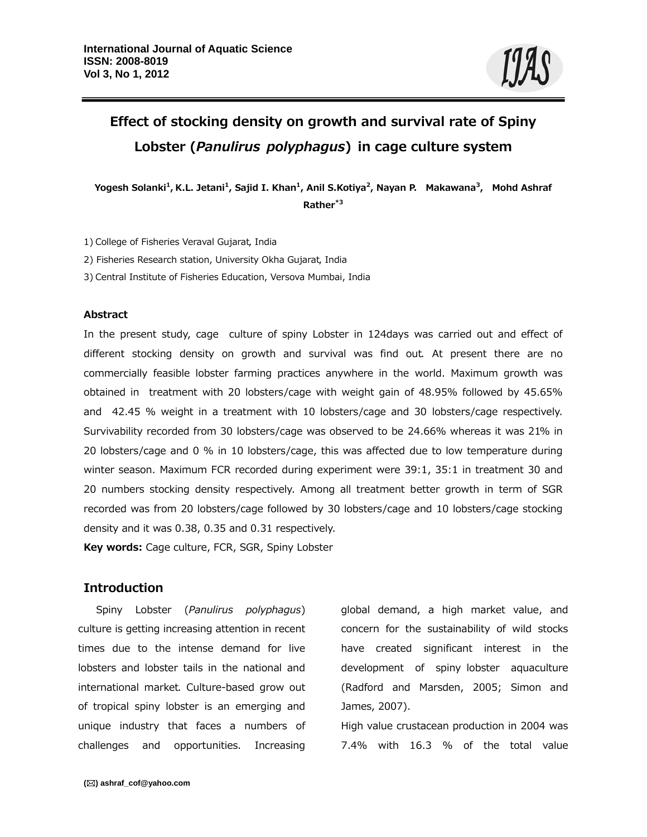# **Effect of stocking density on growth and survival rate of Spiny Lobster (***Panulirus polyphagus***) in cage culture system**

**Yogesh Solanki1, K.L. Jetani1, Sajid I. Khan1, Anil S.Kotiya2, Nayan P. Makawana3, Mohd Ashraf Rather\*3** 

1) College of Fisheries Veraval Gujarat, India

2) Fisheries Research station, University Okha Gujarat, India

3) Central Institute of Fisheries Education, Versova Mumbai, India

#### **Abstract**

In the present study, cage culture of spiny Lobster in 124days was carried out and effect of different stocking density on growth and survival was find out. At present there are no commercially feasible lobster farming practices anywhere in the world. Maximum growth was obtained in treatment with 20 lobsters/cage with weight gain of 48.95% followed by 45.65% and 42.45 % weight in a treatment with 10 lobsters/cage and 30 lobsters/cage respectively. Survivability recorded from 30 lobsters/cage was observed to be 24.66% whereas it was 21% in 20 lobsters/cage and 0 % in 10 lobsters/cage, this was affected due to low temperature during winter season. Maximum FCR recorded during experiment were 39:1, 35:1 in treatment 30 and 20 numbers stocking density respectively. Among all treatment better growth in term of SGR recorded was from 20 lobsters/cage followed by 30 lobsters/cage and 10 lobsters/cage stocking density and it was 0.38, 0.35 and 0.31 respectively.

**Key words:** Cage culture, FCR, SGR, Spiny Lobster

# **Introduction**

Spiny Lobster (*Panulirus polyphagus*) culture is getting increasing attention in recent times due to the intense demand for live lobsters and lobster tails in the national and international market. Culture-based grow out of tropical spiny lobster is an emerging and unique industry that faces a numbers of challenges and opportunities. Increasing

global demand, a high market value, and concern for the sustainability of wild stocks have created significant interest in the development of spiny lobster aquaculture (Radford and Marsden, 2005; Simon and James, 2007).

High value crustacean production in 2004 was 7.4% with 16.3 % of the total value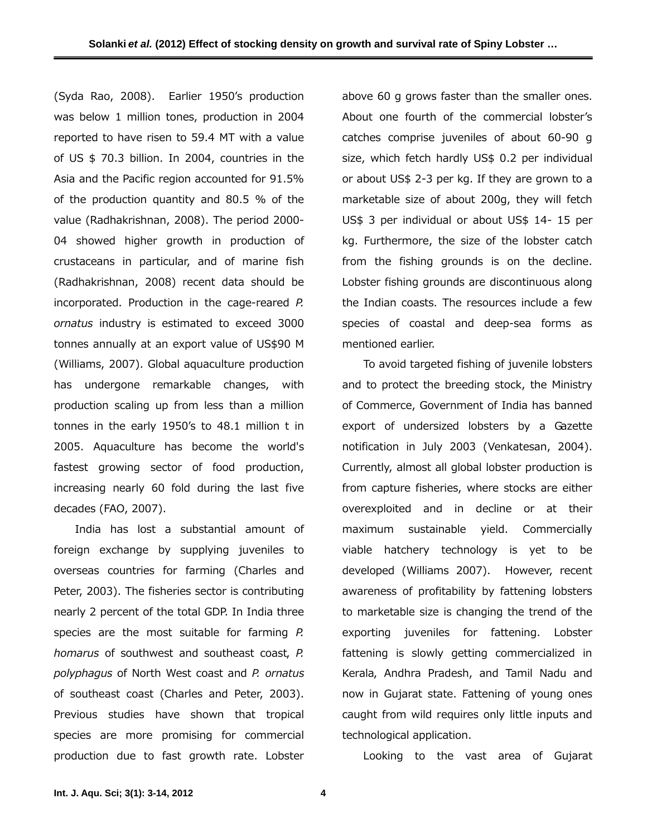(Syda Rao, 2008). Earlier 1950's production was below 1 million tones, production in 2004 reported to have risen to 59.4 MT with a value of US \$ 70.3 billion. In 2004, countries in the Asia and the Pacific region accounted for 91.5% of the production quantity and 80.5 % of the value (Radhakrishnan, 2008). The period 2000- 04 showed higher growth in production of crustaceans in particular, and of marine fish (Radhakrishnan, 2008) recent data should be incorporated. Production in the cage-reared *P. ornatus* industry is estimated to exceed 3000 tonnes annually at an export value of US\$90 M (Williams, 2007). Global aquaculture production has undergone remarkable changes, with production scaling up from less than a million tonnes in the early 1950's to 48.1 million t in 2005. Aquaculture has become the world's fastest growing sector of food production, increasing nearly 60 fold during the last five decades (FAO, 2007).

India has lost a substantial amount of foreign exchange by supplying juveniles to overseas countries for farming (Charles and Peter, 2003). The fisheries sector is contributing nearly 2 percent of the total GDP. In India three species are the most suitable for farming *P. homarus* of southwest and southeast coast, *P. polyphagus* of North West coast and *P. ornatus* of southeast coast (Charles and Peter, 2003). Previous studies have shown that tropical species are more promising for commercial production due to fast growth rate. Lobster

above 60 g grows faster than the smaller ones. About one fourth of the commercial lobster's catches comprise juveniles of about 60-90 g size, which fetch hardly US\$ 0.2 per individual or about US\$ 2-3 per kg. If they are grown to a marketable size of about 200g, they will fetch US\$ 3 per individual or about US\$ 14- 15 per kg. Furthermore, the size of the lobster catch from the fishing grounds is on the decline. Lobster fishing grounds are discontinuous along the Indian coasts. The resources include a few species of coastal and deep-sea forms as mentioned earlier.

To avoid targeted fishing of juvenile lobsters and to protect the breeding stock, the Ministry of Commerce, Government of India has banned export of undersized lobsters by a Gazette notification in July 2003 (Venkatesan, 2004). Currently, almost all global lobster production is from capture fisheries, where stocks are either overexploited and in decline or at their maximum sustainable yield. Commercially viable hatchery technology is yet to be developed (Williams 2007). However, recent awareness of profitability by fattening lobsters to marketable size is changing the trend of the exporting juveniles for fattening. Lobster fattening is slowly getting commercialized in Kerala, Andhra Pradesh, and Tamil Nadu and now in Gujarat state. Fattening of young ones caught from wild requires only little inputs and technological application.

Looking to the vast area of Gujarat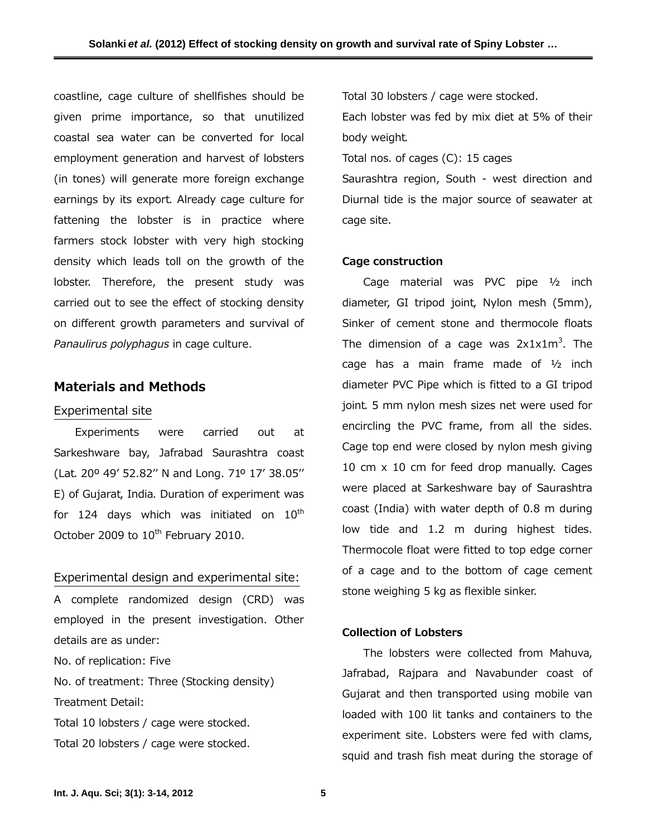coastline, cage culture of shellfishes should be given prime importance, so that unutilized coastal sea water can be converted for local employment generation and harvest of lobsters (in tones) will generate more foreign exchange earnings by its export. Already cage culture for fattening the lobster is in practice where farmers stock lobster with very high stocking density which leads toll on the growth of the lobster. Therefore, the present study was carried out to see the effect of stocking density on different growth parameters and survival of *Panaulirus polyphagus* in cage culture.

# **Materials and Methods**

#### Experimental site

Experiments were carried out at Sarkeshware bay, Jafrabad Saurashtra coast (Lat. 20º 49' 52.82'' N and Long. 71º 17' 38.05'' E) of Gujarat, India. Duration of experiment was for 124 days which was initiated on  $10<sup>th</sup>$ October 2009 to 10<sup>th</sup> February 2010.

# Experimental design and experimental site:

A complete randomized design (CRD) was employed in the present investigation. Other details are as under:

No. of replication: Five

No. of treatment: Three (Stocking density) Treatment Detail:

Total 10 lobsters / cage were stocked. Total 20 lobsters / cage were stocked. Total 30 lobsters / cage were stocked.

Each lobster was fed by mix diet at 5% of their body weight.

Total nos. of cages (C): 15 cages

Saurashtra region, South - west direction and Diurnal tide is the major source of seawater at cage site.

## **Cage construction**

Cage material was PVC pipe ½ inch diameter, GI tripod joint, Nylon mesh (5mm), Sinker of cement stone and thermocole floats The dimension of a cage was  $2x1x1m^3$ . The cage has a main frame made of ½ inch diameter PVC Pipe which is fitted to a GI tripod joint. 5 mm nylon mesh sizes net were used for encircling the PVC frame, from all the sides. Cage top end were closed by nylon mesh giving 10 cm x 10 cm for feed drop manually. Cages were placed at Sarkeshware bay of Saurashtra coast (India) with water depth of 0.8 m during low tide and 1.2 m during highest tides. Thermocole float were fitted to top edge corner of a cage and to the bottom of cage cement stone weighing 5 kg as flexible sinker.

## **Collection of Lobsters**

The lobsters were collected from Mahuva, Jafrabad, Rajpara and Navabunder coast of Gujarat and then transported using mobile van loaded with 100 lit tanks and containers to the experiment site. Lobsters were fed with clams, squid and trash fish meat during the storage of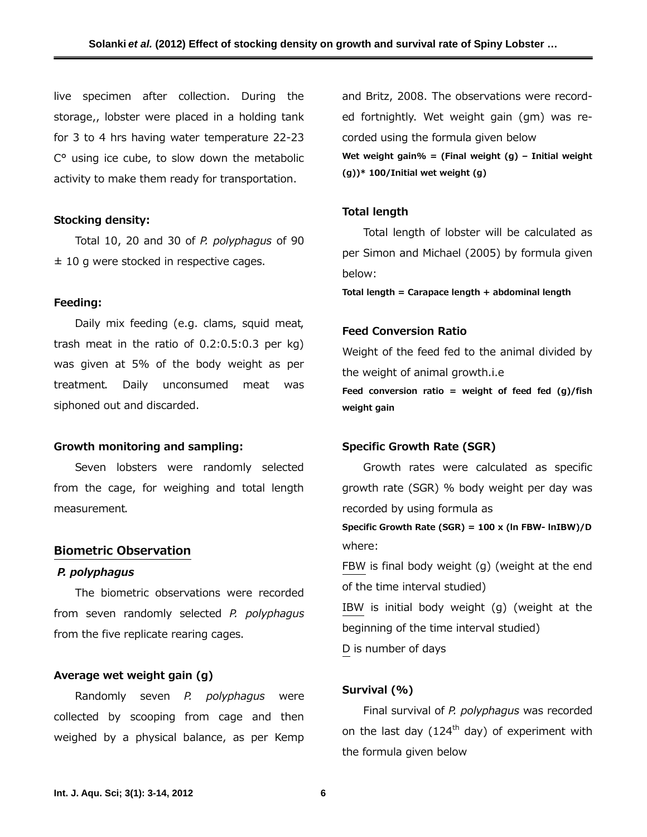live specimen after collection. During the storage,, lobster were placed in a holding tank for 3 to 4 hrs having water temperature 22-23 C° using ice cube, to slow down the metabolic activity to make them ready for transportation.

#### **Stocking density:**

Total 10, 20 and 30 of *P. polyphagus* of 90  $±$  10 g were stocked in respective cages.

# **Feeding:**

Daily mix feeding (e.g. clams, squid meat, trash meat in the ratio of 0.2:0.5:0.3 per kg) was given at 5% of the body weight as per treatment. Daily unconsumed meat was siphoned out and discarded.

#### **Growth monitoring and sampling:**

Seven lobsters were randomly selected from the cage, for weighing and total length measurement.

#### **Biometric Observation**

#### *P. polyphagus*

The biometric observations were recorded from seven randomly selected *P. polyphagus* from the five replicate rearing cages.

## **Average wet weight gain (g)**

Randomly seven *P. polyphagus* were collected by scooping from cage and then weighed by a physical balance, as per Kemp and Britz, 2008. The observations were recorded fortnightly. Wet weight gain (gm) was recorded using the formula given below **Wet weight gain% = (Final weight (g) – Initial weight (g))\* 100/Initial wet weight (g)** 

#### **Total length**

Total length of lobster will be calculated as per Simon and Michael (2005) by formula given below:

**Total length = Carapace length + abdominal length** 

### **Feed Conversion Ratio**

Weight of the feed fed to the animal divided by the weight of animal growth.i.e

**Feed conversion ratio = weight of feed fed (g)/fish weight gain** 

# **Specific Growth Rate (SGR)**

Growth rates were calculated as specific growth rate (SGR) % body weight per day was recorded by using formula as **Specific Growth Rate (SGR) = 100 x (ln FBW- lnIBW)/D**  where: FBW is final body weight (g) (weight at the end of the time interval studied) IBW is initial body weight (g) (weight at the beginning of the time interval studied) D is number of days

## **Survival (%)**

Final survival of *P. polyphagus* was recorded on the last day  $(124<sup>th</sup>$  day) of experiment with the formula given below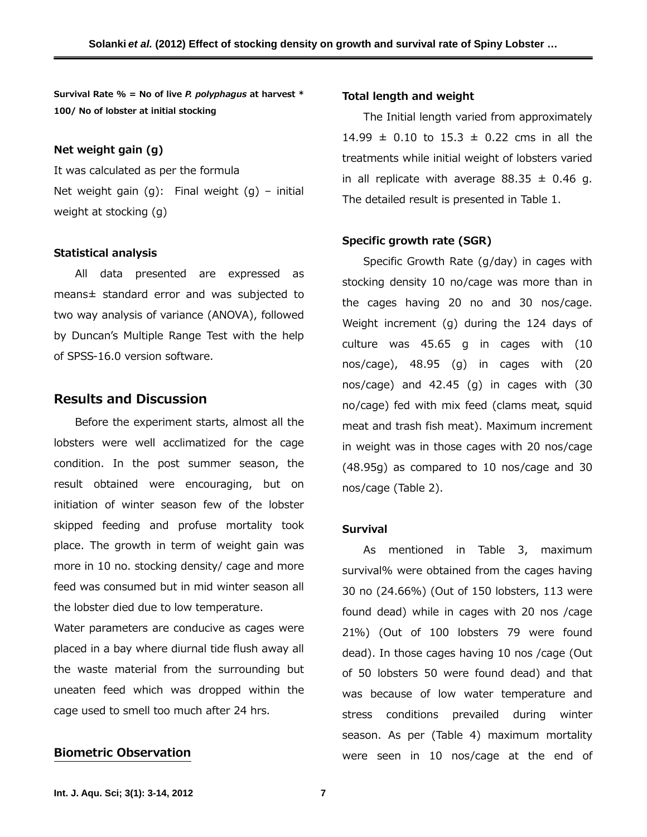**Survival Rate % = No of live** *P. polyphagus* **at harvest \* 100/ No of lobster at initial stocking**

#### **Net weight gain (g)**

It was calculated as per the formula Net weight gain  $(g)$ : Final weight  $(g)$  – initial weight at stocking (g)

#### **Statistical analysis**

All data presented are expressed as means± standard error and was subjected to two way analysis of variance (ANOVA), followed by Duncan's Multiple Range Test with the help of SPSS-16.0 version software.

# **Results and Discussion**

Before the experiment starts, almost all the lobsters were well acclimatized for the cage condition. In the post summer season, the result obtained were encouraging, but on initiation of winter season few of the lobster skipped feeding and profuse mortality took place. The growth in term of weight gain was more in 10 no. stocking density/ cage and more feed was consumed but in mid winter season all the lobster died due to low temperature.

Water parameters are conducive as cages were placed in a bay where diurnal tide flush away all the waste material from the surrounding but uneaten feed which was dropped within the cage used to smell too much after 24 hrs.

# **Biometric Observation**

#### **Total length and weight**

The Initial length varied from approximately 14.99  $\pm$  0.10 to 15.3  $\pm$  0.22 cms in all the treatments while initial weight of lobsters varied in all replicate with average  $88.35 \pm 0.46$  g. The detailed result is presented in Table 1.

# **Specific growth rate (SGR)**

Specific Growth Rate (g/day) in cages with stocking density 10 no/cage was more than in the cages having 20 no and 30 nos/cage. Weight increment (g) during the 124 days of culture was 45.65 g in cages with (10 nos/cage), 48.95 (g) in cages with (20 nos/cage) and 42.45 (g) in cages with (30 no/cage) fed with mix feed (clams meat, squid meat and trash fish meat). Maximum increment in weight was in those cages with 20 nos/cage (48.95g) as compared to 10 nos/cage and 30 nos/cage (Table 2).

## **Survival**

As mentioned in Table 3, maximum survival% were obtained from the cages having 30 no (24.66%) (Out of 150 lobsters, 113 were found dead) while in cages with 20 nos /cage 21%) (Out of 100 lobsters 79 were found dead). In those cages having 10 nos /cage (Out of 50 lobsters 50 were found dead) and that was because of low water temperature and stress conditions prevailed during winter season. As per (Table 4) maximum mortality were seen in 10 nos/cage at the end of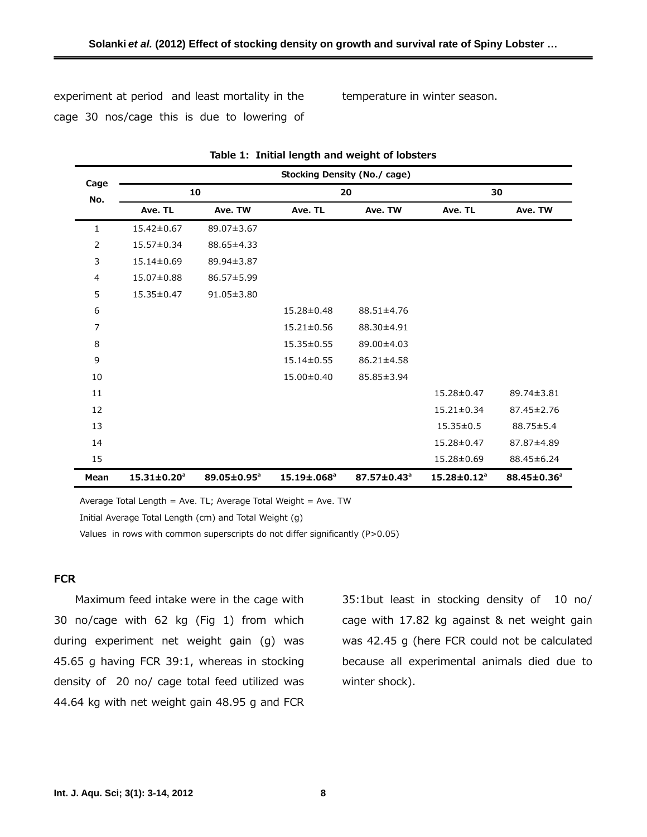experiment at period and least mortality in the cage 30 nos/cage this is due to lowering of

temperature in winter season.

| Cage<br>No.    | <b>Stocking Density (No./ cage)</b> |                         |                         |                         |                               |                         |  |  |
|----------------|-------------------------------------|-------------------------|-------------------------|-------------------------|-------------------------------|-------------------------|--|--|
|                | 10                                  |                         | 20                      |                         | 30                            |                         |  |  |
|                | Ave. TL                             | Ave. TW                 | Ave. TL                 | Ave. TW                 | Ave. TL                       | Ave. TW                 |  |  |
| $\mathbf{1}$   | 15.42±0.67                          | 89.07±3.67              |                         |                         |                               |                         |  |  |
| $\overline{2}$ | 15.57±0.34                          | 88.65±4.33              |                         |                         |                               |                         |  |  |
| 3              | 15.14±0.69                          | 89.94±3.87              |                         |                         |                               |                         |  |  |
| 4              | 15.07±0.88                          | 86.57±5.99              |                         |                         |                               |                         |  |  |
| 5              | 15.35±0.47                          | $91.05 \pm 3.80$        |                         |                         |                               |                         |  |  |
| 6              |                                     |                         | 15.28±0.48              | 88.51±4.76              |                               |                         |  |  |
| $\overline{7}$ |                                     |                         | 15.21±0.56              | 88.30±4.91              |                               |                         |  |  |
| 8              |                                     |                         | 15.35±0.55              | 89.00±4.03              |                               |                         |  |  |
| 9              |                                     |                         | 15.14±0.55              | 86.21±4.58              |                               |                         |  |  |
| 10             |                                     |                         | 15.00±0.40              | 85.85±3.94              |                               |                         |  |  |
| 11             |                                     |                         |                         |                         | 15.28±0.47                    | 89.74±3.81              |  |  |
| 12             |                                     |                         |                         |                         | $15.21 \pm 0.34$              | 87.45±2.76              |  |  |
| 13             |                                     |                         |                         |                         | $15.35 \pm 0.5$               | 88.75±5.4               |  |  |
| 14             |                                     |                         |                         |                         | 15.28±0.47                    | 87.87±4.89              |  |  |
| 15             |                                     |                         |                         |                         | 15.28±0.69                    | 88.45±6.24              |  |  |
| Mean           | $15.31 \pm 0.20^a$                  | 89.05±0.95 <sup>a</sup> | 15.19±.068 <sup>a</sup> | 87.57±0.43 <sup>a</sup> | $15.28 \pm 0.12$ <sup>a</sup> | 88.45±0.36 <sup>a</sup> |  |  |

**Table 1: Initial length and weight of lobsters** 

Average Total Length = Ave. TL; Average Total Weight = Ave. TW

Initial Average Total Length (cm) and Total Weight (g)

Values in rows with common superscripts do not differ significantly (P>0.05)

# **FCR**

Maximum feed intake were in the cage with 30 no/cage with 62 kg (Fig 1) from which during experiment net weight gain (g) was 45.65 g having FCR 39:1, whereas in stocking density of 20 no/ cage total feed utilized was 44.64 kg with net weight gain 48.95 g and FCR

35:1but least in stocking density of 10 no/ cage with 17.82 kg against & net weight gain was 42.45 g (here FCR could not be calculated because all experimental animals died due to winter shock).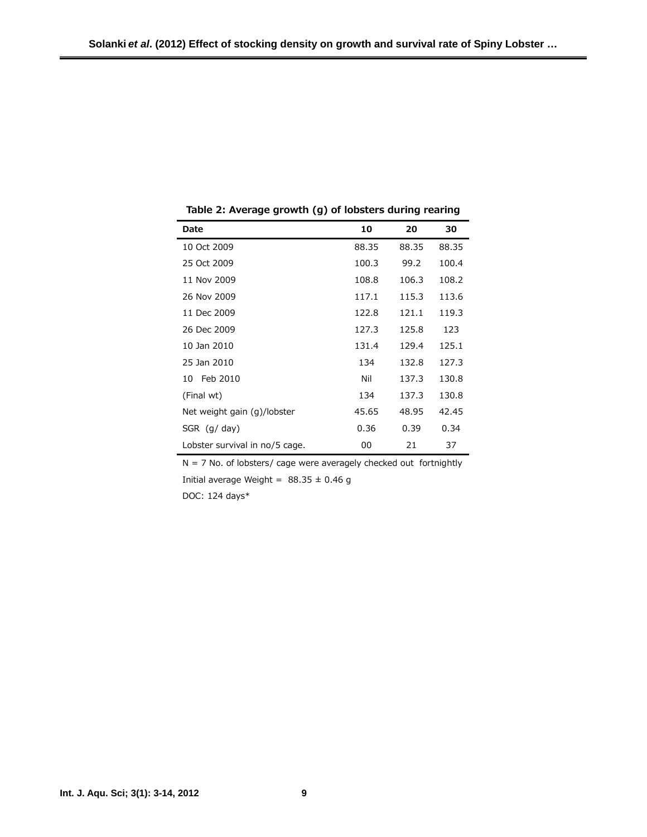| Date                           | 10    | 20    | 30    |
|--------------------------------|-------|-------|-------|
| 10 Oct 2009                    | 88.35 | 88.35 | 88.35 |
| 25 Oct 2009                    | 100.3 | 99.2  | 100.4 |
| 11 Nov 2009                    | 108.8 | 106.3 | 108.2 |
| 26 Nov 2009                    | 117.1 | 115.3 | 113.6 |
| 11 Dec 2009                    | 122.8 | 121.1 | 119.3 |
| 26 Dec 2009                    | 127.3 | 125.8 | 123   |
| 10 Jan 2010                    | 131.4 | 129.4 | 125.1 |
| 25 Jan 2010                    | 134   | 132.8 | 127.3 |
| Feb 2010<br>10                 | Nil   | 137.3 | 130.8 |
| (Final wt)                     | 134   | 137.3 | 130.8 |
| Net weight gain (g)/lobster    | 45.65 | 48.95 | 42.45 |
| SGR $(g/day)$                  | 0.36  | 0.39  | 0.34  |
| Lobster survival in no/5 cage. | 00    | 21    | 37    |

**Table 2: Average growth (g) of lobsters during rearing** 

 $N = 7$  No. of lobsters/ cage were averagely checked out fortnightly Initial average Weight =  $88.35 \pm 0.46$  g

DOC: 124 days\*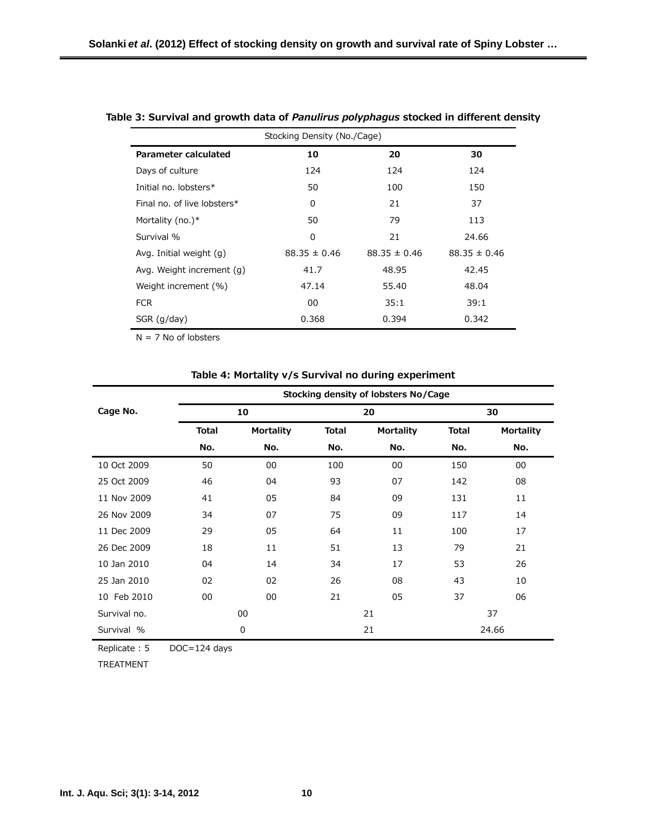| Stocking Density (No./Cage) |                  |                  |                  |  |  |
|-----------------------------|------------------|------------------|------------------|--|--|
| Parameter calculated        | 10               | 20               | 30               |  |  |
| Days of culture             | 124              | 124              | 124              |  |  |
| Initial no. lobsters*       | 50               | 100              | 150              |  |  |
| Final no. of live lobsters* | 0                | 21               | 37               |  |  |
| Mortality (no.) $*$         | 50               | 79               | 113              |  |  |
| Survival %                  | 0                | 21               | 24.66            |  |  |
| Avg. Initial weight (g)     | $88.35 \pm 0.46$ | $88.35 \pm 0.46$ | $88.35 \pm 0.46$ |  |  |
| Avg. Weight increment (g)   | 41.7             | 48.95            | 42.45            |  |  |
| Weight increment (%)        | 47.14            | 55.40            | 48.04            |  |  |
| <b>FCR</b>                  | 00               | 35:1             | 39:1             |  |  |
| SGR (q/day)                 | 0.368            | 0.394            | 0.342            |  |  |

## **Table 3: Survival and growth data of** *Panulirus polyphagus* **stocked in different density**

 $N = 7$  No of lobsters

## **Table 4: Mortality v/s Survival no during experiment**

|              | Stocking density of lobsters No/Cage |                  |              |                  |              |                  |  |
|--------------|--------------------------------------|------------------|--------------|------------------|--------------|------------------|--|
| Cage No.     | 10                                   |                  | 20           |                  | 30           |                  |  |
|              | <b>Total</b>                         | <b>Mortality</b> | <b>Total</b> | <b>Mortality</b> | <b>Total</b> | <b>Mortality</b> |  |
|              | No.                                  | No.              | No.          | No.              | No.          | No.              |  |
| 10 Oct 2009  | 50                                   | 00               | 100          | 00               | 150          | 00               |  |
| 25 Oct 2009  | 46                                   | 04               | 93           | 07               | 142          | 08               |  |
| 11 Nov 2009  | 41                                   | 05               | 84           | 09               | 131          | 11               |  |
| 26 Nov 2009  | 34                                   | 07               | 75           | 09               | 117          | 14               |  |
| 11 Dec 2009  | 29                                   | 05               | 64           | 11               | 100          | 17               |  |
| 26 Dec 2009  | 18                                   | 11               | 51           | 13               | 79           | 21               |  |
| 10 Jan 2010  | 04                                   | 14               | 34           | 17               | 53           | 26               |  |
| 25 Jan 2010  | 02                                   | 02               | 26           | 08               | 43           | 10               |  |
| 10 Feb 2010  | 00                                   | 00               | 21           | 05               | 37           | 06               |  |
| Survival no. | 00                                   |                  | 21           |                  | 37           |                  |  |
| Survival %   | 0                                    |                  | 21           |                  | 24.66        |                  |  |

Replicate : 5 DOC=124 days

TREATMENT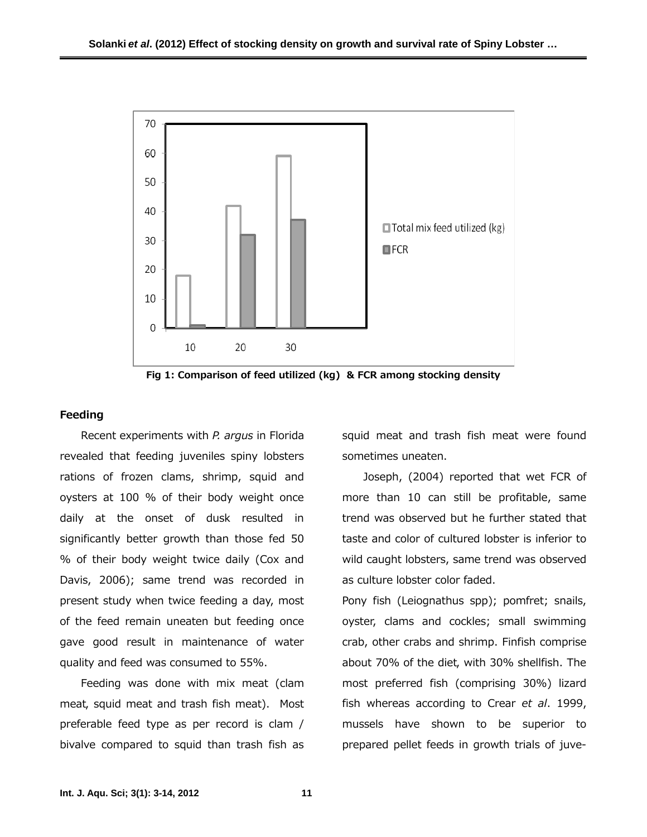

**Fig 1: Comparison of feed utilized (kg) & FCR among stocking density** 

## **Feeding**

Recent experiments with *P. argus* in Florida revealed that feeding juveniles spiny lobsters rations of frozen clams, shrimp, squid and oysters at 100 % of their body weight once daily at the onset of dusk resulted in significantly better growth than those fed 50 % of their body weight twice daily (Cox and Davis, 2006); same trend was recorded in present study when twice feeding a day, most of the feed remain uneaten but feeding once gave good result in maintenance of water quality and feed was consumed to 55%.

Feeding was done with mix meat (clam meat, squid meat and trash fish meat). Most preferable feed type as per record is clam / bivalve compared to squid than trash fish as

squid meat and trash fish meat were found sometimes uneaten.

Joseph, (2004) reported that wet FCR of more than 10 can still be profitable, same trend was observed but he further stated that taste and color of cultured lobster is inferior to wild caught lobsters, same trend was observed as culture lobster color faded.

Pony fish (Leiognathus spp); pomfret; snails, oyster, clams and cockles; small swimming crab, other crabs and shrimp. Finfish comprise about 70% of the diet, with 30% shellfish. The most preferred fish (comprising 30%) lizard fish whereas according to Crear *et al*. 1999, mussels have shown to be superior to prepared pellet feeds in growth trials of juve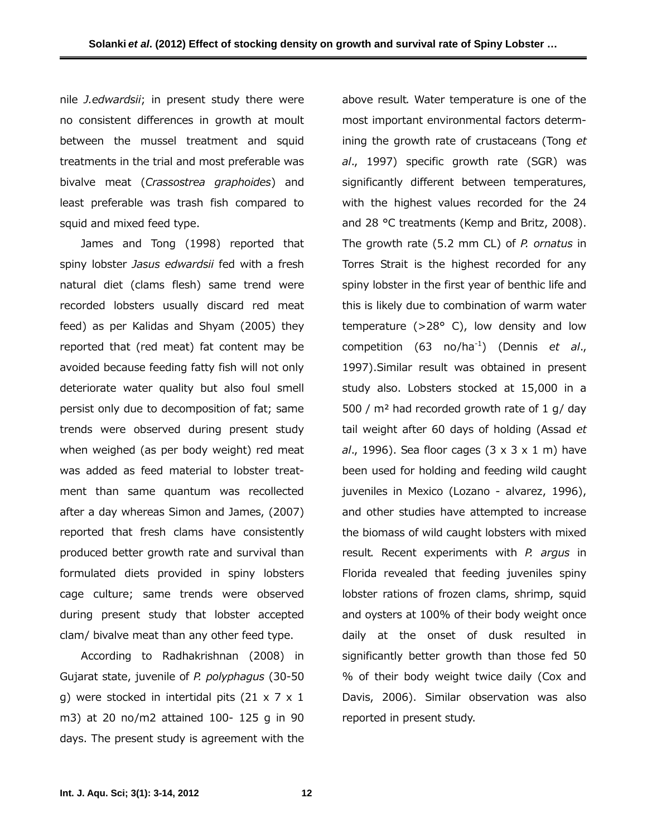nile *J.edwardsii*; in present study there were no consistent differences in growth at moult between the mussel treatment and squid treatments in the trial and most preferable was bivalve meat (*Crassostrea graphoides*) and least preferable was trash fish compared to squid and mixed feed type.

James and Tong (1998) reported that spiny lobster *Jasus edwardsii* fed with a fresh natural diet (clams flesh) same trend were recorded lobsters usually discard red meat feed) as per Kalidas and Shyam (2005) they reported that (red meat) fat content may be avoided because feeding fatty fish will not only deteriorate water quality but also foul smell persist only due to decomposition of fat; same trends were observed during present study when weighed (as per body weight) red meat was added as feed material to lobster treatment than same quantum was recollected after a day whereas Simon and James, (2007) reported that fresh clams have consistently produced better growth rate and survival than formulated diets provided in spiny lobsters cage culture; same trends were observed during present study that lobster accepted clam/ bivalve meat than any other feed type.

According to Radhakrishnan (2008) in Gujarat state, juvenile of *P. polyphagus* (30-50 g) were stocked in intertidal pits  $(21 \times 7 \times 1)$ m3) at 20 no/m2 attained 100- 125 g in 90 days. The present study is agreement with the

above result. Water temperature is one of the most important environmental factors determining the growth rate of crustaceans (Tong *et al*., 1997) specific growth rate (SGR) was significantly different between temperatures, with the highest values recorded for the 24 and 28 °C treatments (Kemp and Britz, 2008). The growth rate (5.2 mm CL) of *P. ornatus* in Torres Strait is the highest recorded for any spiny lobster in the first year of benthic life and this is likely due to combination of warm water temperature ( $>28^\circ$  C), low density and low competition (63 no/ha-1) (Dennis *et al*., 1997).Similar result was obtained in present study also. Lobsters stocked at 15,000 in a 500 / m² had recorded growth rate of 1 g/ day tail weight after 60 days of holding (Assad *et al*., 1996). Sea floor cages (3 x 3 x 1 m) have been used for holding and feeding wild caught juveniles in Mexico (Lozano - alvarez, 1996), and other studies have attempted to increase the biomass of wild caught lobsters with mixed result. Recent experiments with *P. argus* in Florida revealed that feeding juveniles spiny lobster rations of frozen clams, shrimp, squid and oysters at 100% of their body weight once daily at the onset of dusk resulted in significantly better growth than those fed 50 % of their body weight twice daily (Cox and Davis, 2006). Similar observation was also reported in present study.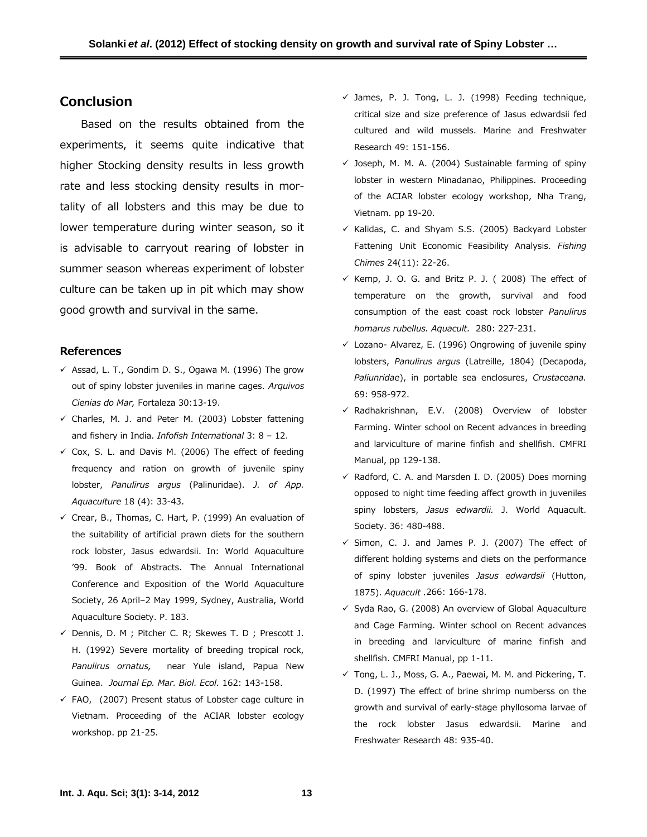# **Conclusion**

Based on the results obtained from the experiments, it seems quite indicative that higher Stocking density results in less growth rate and less stocking density results in mortality of all lobsters and this may be due to lower temperature during winter season, so it is advisable to carryout rearing of lobster in summer season whereas experiment of lobster culture can be taken up in pit which may show good growth and survival in the same.

#### **References**

- $\checkmark$  Assad, L. T., Gondim D. S., Ogawa M. (1996) The grow out of spiny lobster juveniles in marine cages. *Arquivos Cienias do Mar,* Fortaleza 30:13-19.
- $\checkmark$  Charles, M. J. and Peter M. (2003) Lobster fattening and fishery in India. *Infofish International* 3: 8 – 12.
- $\checkmark$  Cox, S. L. and Davis M. (2006) The effect of feeding frequency and ration on growth of juvenile spiny lobster, *Panulirus argus* (Palinuridae). *J. of App. Aquaculture* 18 (4): 33-43.
- $\checkmark$  Crear, B., Thomas, C. Hart, P. (1999) An evaluation of the suitability of artificial prawn diets for the southern rock lobster, Jasus edwardsii. In: World Aquaculture '99. Book of Abstracts. The Annual International Conference and Exposition of the World Aquaculture Society, 26 April–2 May 1999, Sydney, Australia, World Aquaculture Society. P. 183.
- $\checkmark$  Dennis, D. M ; Pitcher C. R; Skewes T. D ; Prescott J. H. (1992) Severe mortality of breeding tropical rock, *Panulirus ornatus,* near Yule island, Papua New Guinea. *Journal Ep. Mar. Biol. Ecol.* 162: 143-158.
- $\checkmark$  FAO, (2007) Present status of Lobster cage culture in Vietnam. Proceeding of the ACIAR lobster ecology workshop. pp 21-25.
- $\checkmark$  James, P. J. Tong, L. J. (1998) Feeding technique, critical size and size preference of Jasus edwardsii fed cultured and wild mussels. Marine and Freshwater Research 49: 151-156.
- $\checkmark$  Joseph, M. M. A. (2004) Sustainable farming of spiny lobster in western Minadanao, Philippines. Proceeding of the ACIAR lobster ecology workshop, Nha Trang, Vietnam. pp 19-20.
- $\checkmark$  Kalidas, C. and Shyam S.S. (2005) Backyard Lobster Fattening Unit Economic Feasibility Analysis. *Fishing Chimes* 24(11): 22-26.
- $\checkmark$  Kemp, J. O. G. and Britz P. J. ( 2008) The effect of temperature on the growth, survival and food consumption of the east coast rock lobster *Panulirus homarus rubellus. Aquacult.* 280: 227-231.
- $\checkmark$  Lozano- Alvarez, E. (1996) Ongrowing of juvenile spiny lobsters, *Panulirus argus* (Latreille, 1804) (Decapoda, *Paliunridae*), in portable sea enclosures, *Crustaceana.*  69: 958-972.
- $\checkmark$  Radhakrishnan, E.V. (2008) Overview of lobster Farming. Winter school on Recent advances in breeding and larviculture of marine finfish and shellfish. CMFRI Manual, pp 129-138.
- $\checkmark$  Radford, C. A. and Marsden I. D. (2005) Does morning opposed to night time feeding affect growth in juveniles spiny lobsters, *Jasus edwardii.* J. World Aquacult. Society. 36: 480-488.
- $\checkmark$  Simon, C. J. and James P. J. (2007) The effect of different holding systems and diets on the performance of spiny lobster juveniles *Jasus edwardsii* (Hutton, 1875). *Aquacult .*266: 166-178.
- $\checkmark$  Syda Rao, G. (2008) An overview of Global Aquaculture and Cage Farming. Winter school on Recent advances in breeding and larviculture of marine finfish and shellfish. CMFRI Manual, pp 1-11.
- $\checkmark$  Tong, L. J., Moss, G. A., Paewai, M. M. and Pickering, T. D. (1997) The effect of brine shrimp numberss on the growth and survival of early-stage phyllosoma larvae of the rock lobster Jasus edwardsii. Marine and Freshwater Research 48: 935-40.